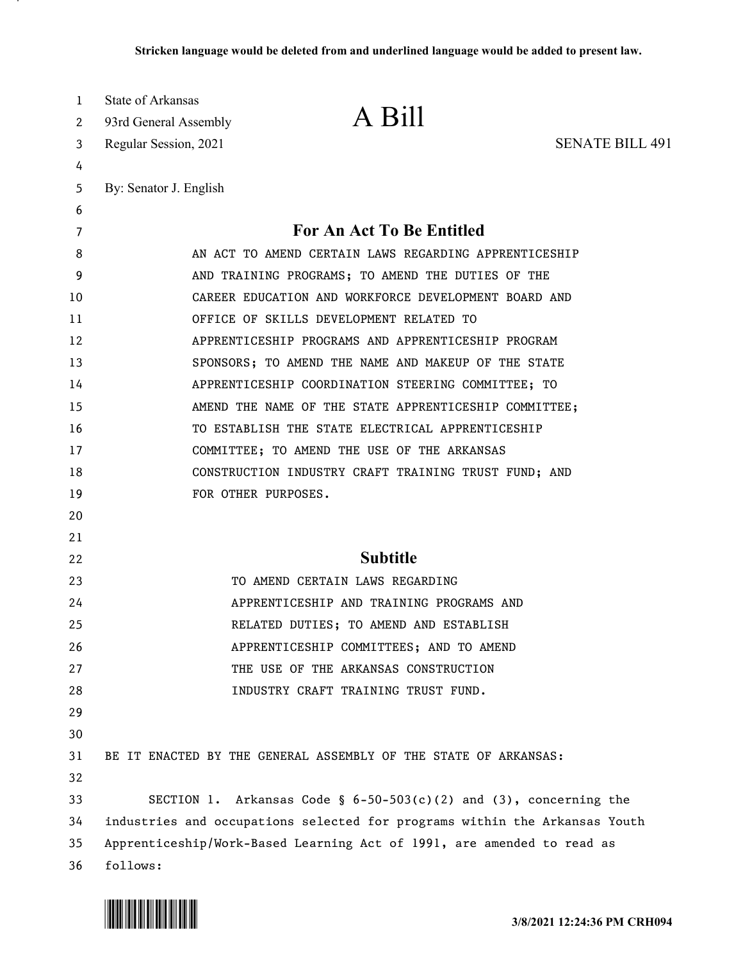| 1        | <b>State of Arkansas</b>                                                                                                                             | A Bill                                                              |                        |
|----------|------------------------------------------------------------------------------------------------------------------------------------------------------|---------------------------------------------------------------------|------------------------|
| 2        | 93rd General Assembly                                                                                                                                |                                                                     |                        |
| 3        | Regular Session, 2021                                                                                                                                |                                                                     | <b>SENATE BILL 491</b> |
| 4        |                                                                                                                                                      |                                                                     |                        |
| 5        | By: Senator J. English                                                                                                                               |                                                                     |                        |
| 6        |                                                                                                                                                      |                                                                     |                        |
| 7        |                                                                                                                                                      | For An Act To Be Entitled                                           |                        |
| 8        |                                                                                                                                                      | AN ACT TO AMEND CERTAIN LAWS REGARDING APPRENTICESHIP               |                        |
| 9        |                                                                                                                                                      | AND TRAINING PROGRAMS; TO AMEND THE DUTIES OF THE                   |                        |
| 10       |                                                                                                                                                      | CAREER EDUCATION AND WORKFORCE DEVELOPMENT BOARD AND                |                        |
| 11       |                                                                                                                                                      | OFFICE OF SKILLS DEVELOPMENT RELATED TO                             |                        |
| 12       |                                                                                                                                                      | APPRENTICESHIP PROGRAMS AND APPRENTICESHIP PROGRAM                  |                        |
| 13       |                                                                                                                                                      | SPONSORS; TO AMEND THE NAME AND MAKEUP OF THE STATE                 |                        |
| 14       |                                                                                                                                                      | APPRENTICESHIP COORDINATION STEERING COMMITTEE; TO                  |                        |
| 15       |                                                                                                                                                      | AMEND THE NAME OF THE STATE APPRENTICESHIP COMMITTEE;               |                        |
| 16       |                                                                                                                                                      | TO ESTABLISH THE STATE ELECTRICAL APPRENTICESHIP                    |                        |
| 17       |                                                                                                                                                      | COMMITTEE; TO AMEND THE USE OF THE ARKANSAS                         |                        |
| 18       |                                                                                                                                                      | CONSTRUCTION INDUSTRY CRAFT TRAINING TRUST FUND; AND                |                        |
| 19       |                                                                                                                                                      | FOR OTHER PURPOSES.                                                 |                        |
| 20       |                                                                                                                                                      |                                                                     |                        |
| 21       |                                                                                                                                                      |                                                                     |                        |
| 22       |                                                                                                                                                      | <b>Subtitle</b>                                                     |                        |
| 23       |                                                                                                                                                      | TO AMEND CERTAIN LAWS REGARDING                                     |                        |
| 24       |                                                                                                                                                      | APPRENTICESHIP AND TRAINING PROGRAMS AND                            |                        |
| 25       |                                                                                                                                                      | RELATED DUTIES; TO AMEND AND ESTABLISH                              |                        |
| 26       |                                                                                                                                                      | APPRENTICESHIP COMMITTEES; AND TO AMEND                             |                        |
| 27       |                                                                                                                                                      | THE USE OF THE ARKANSAS CONSTRUCTION                                |                        |
| 28       |                                                                                                                                                      | INDUSTRY CRAFT TRAINING TRUST FUND.                                 |                        |
| 29       |                                                                                                                                                      |                                                                     |                        |
| 30       |                                                                                                                                                      |                                                                     |                        |
| 31<br>32 |                                                                                                                                                      | BE IT ENACTED BY THE GENERAL ASSEMBLY OF THE STATE OF ARKANSAS:     |                        |
| 33       |                                                                                                                                                      | SECTION 1. Arkansas Code § $6-50-503(c)(2)$ and (3), concerning the |                        |
| 34       |                                                                                                                                                      |                                                                     |                        |
| 35       | industries and occupations selected for programs within the Arkansas Youth<br>Apprenticeship/Work-Based Learning Act of 1991, are amended to read as |                                                                     |                        |
| 36       | follows:                                                                                                                                             |                                                                     |                        |

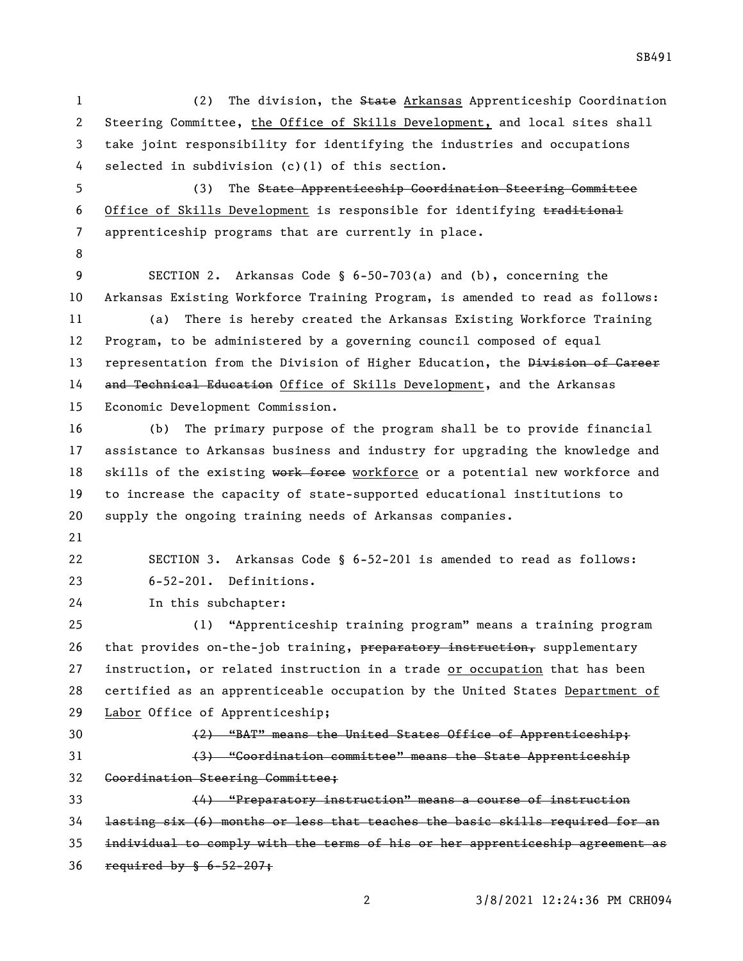(2) The division, the State Arkansas Apprenticeship Coordination Steering Committee, the Office of Skills Development, and local sites shall take joint responsibility for identifying the industries and occupations selected in subdivision (c)(1) of this section. (3) The State Apprenticeship Coordination Steering Committee 6 Office of Skills Development is responsible for identifying traditional apprenticeship programs that are currently in place. SECTION 2. Arkansas Code § 6-50-703(a) and (b), concerning the Arkansas Existing Workforce Training Program, is amended to read as follows: (a) There is hereby created the Arkansas Existing Workforce Training Program, to be administered by a governing council composed of equal 13 representation from the Division of Higher Education, the Division of Career 14 and Technical Education Office of Skills Development, and the Arkansas Economic Development Commission. (b) The primary purpose of the program shall be to provide financial assistance to Arkansas business and industry for upgrading the knowledge and 18 skills of the existing work force workforce or a potential new workforce and to increase the capacity of state-supported educational institutions to supply the ongoing training needs of Arkansas companies. SECTION 3. Arkansas Code § 6-52-201 is amended to read as follows: 6-52-201. Definitions. In this subchapter: (1) "Apprenticeship training program" means a training program 26 that provides on-the-job training, preparatory instruction, supplementary instruction, or related instruction in a trade or occupation that has been certified as an apprenticeable occupation by the United States Department of Labor Office of Apprenticeship; (2) "BAT" means the United States Office of Apprenticeship; (3) "Coordination committee" means the State Apprenticeship Coordination Steering Committee; (4) "Preparatory instruction" means a course of instruction lasting six (6) months or less that teaches the basic skills required for an individual to comply with the terms of his or her apprenticeship agreement as required by § 6-52-207;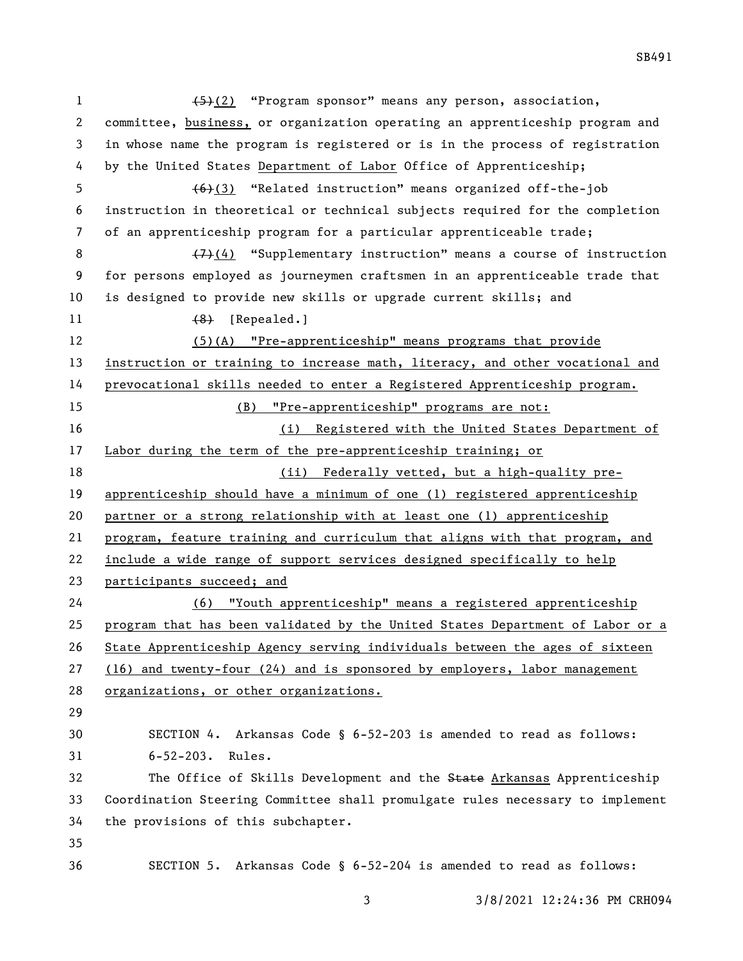1 (5)(2) "Program sponsor" means any person, association, committee, business, or organization operating an apprenticeship program and in whose name the program is registered or is in the process of registration by the United States Department of Labor Office of Apprenticeship; (6)(3) "Related instruction" means organized off-the-job instruction in theoretical or technical subjects required for the completion of an apprenticeship program for a particular apprenticeable trade;  $\left(7\right)(4)$  "Supplementary instruction" means a course of instruction for persons employed as journeymen craftsmen in an apprenticeable trade that is designed to provide new skills or upgrade current skills; and 11 (8) [Repealed.] (5)(A) "Pre-apprenticeship" means programs that provide instruction or training to increase math, literacy, and other vocational and prevocational skills needed to enter a Registered Apprenticeship program. (B) "Pre-apprenticeship" programs are not: (i) Registered with the United States Department of 17 Labor during the term of the pre-apprenticeship training; or (ii) Federally vetted, but a high-quality pre- apprenticeship should have a minimum of one (1) registered apprenticeship partner or a strong relationship with at least one (1) apprenticeship program, feature training and curriculum that aligns with that program, and include a wide range of support services designed specifically to help participants succeed; and (6) "Youth apprenticeship" means a registered apprenticeship program that has been validated by the United States Department of Labor or a State Apprenticeship Agency serving individuals between the ages of sixteen (16) and twenty-four (24) and is sponsored by employers, labor management organizations, or other organizations. SECTION 4. Arkansas Code § 6-52-203 is amended to read as follows: 6-52-203. Rules. 32 The Office of Skills Development and the State Arkansas Apprenticeship Coordination Steering Committee shall promulgate rules necessary to implement the provisions of this subchapter. SECTION 5. Arkansas Code § 6-52-204 is amended to read as follows:

SB491

3/8/2021 12:24:36 PM CRH094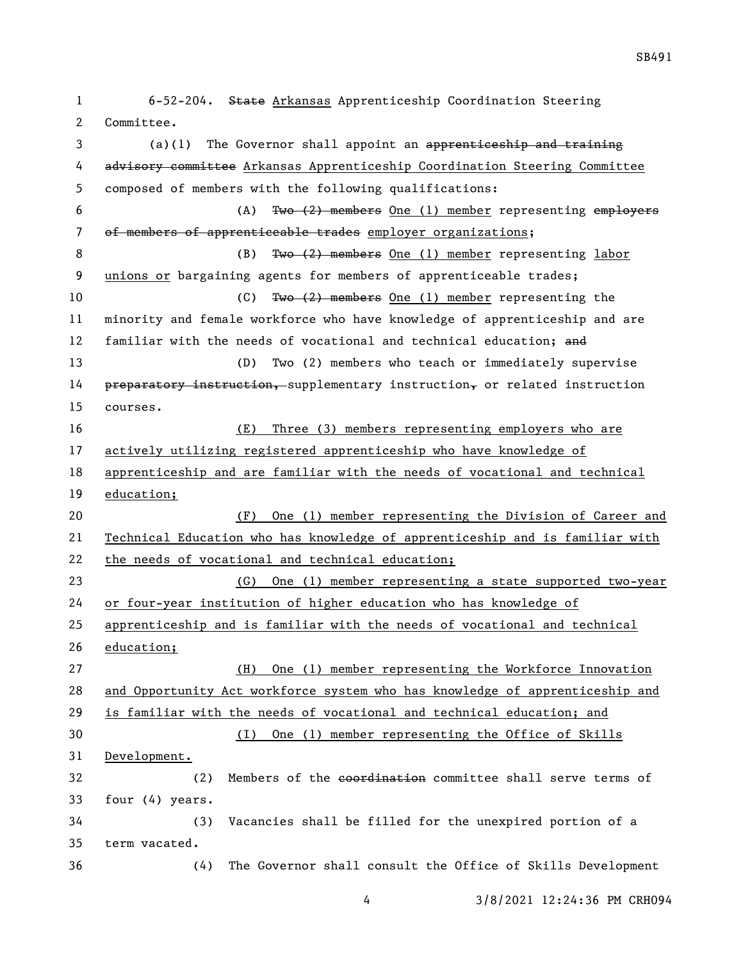6-52-204. State Arkansas Apprenticeship Coordination Steering Committee.

3 (a)(1) The Governor shall appoint an apprenticeship and training 4 advisory committee Arkansas Apprenticeship Coordination Steering Committee composed of members with the following qualifications: (A) Two (2) members One (1) member representing employers 7 of members of apprenticeable trades employer organizations; 8 (B) Two (2) members One (1) member representing labor unions or bargaining agents for members of apprenticeable trades; 10 (C) Two (2) members One (1) member representing the minority and female workforce who have knowledge of apprenticeship and are 12 familiar with the needs of vocational and technical education; and (D) Two (2) members who teach or immediately supervise 14 preparatory instruction, supplementary instruction, or related instruction courses. (E) Three (3) members representing employers who are actively utilizing registered apprenticeship who have knowledge of apprenticeship and are familiar with the needs of vocational and technical education; (F) One (1) member representing the Division of Career and Technical Education who has knowledge of apprenticeship and is familiar with the needs of vocational and technical education; (G) One (1) member representing a state supported two-year or four-year institution of higher education who has knowledge of apprenticeship and is familiar with the needs of vocational and technical education; (H) One (1) member representing the Workforce Innovation and Opportunity Act workforce system who has knowledge of apprenticeship and is familiar with the needs of vocational and technical education; and (I) One (1) member representing the Office of Skills Development. 32 (2) Members of the eoerdination committee shall serve terms of four (4) years. (3) Vacancies shall be filled for the unexpired portion of a term vacated. (4) The Governor shall consult the Office of Skills Development

3/8/2021 12:24:36 PM CRH094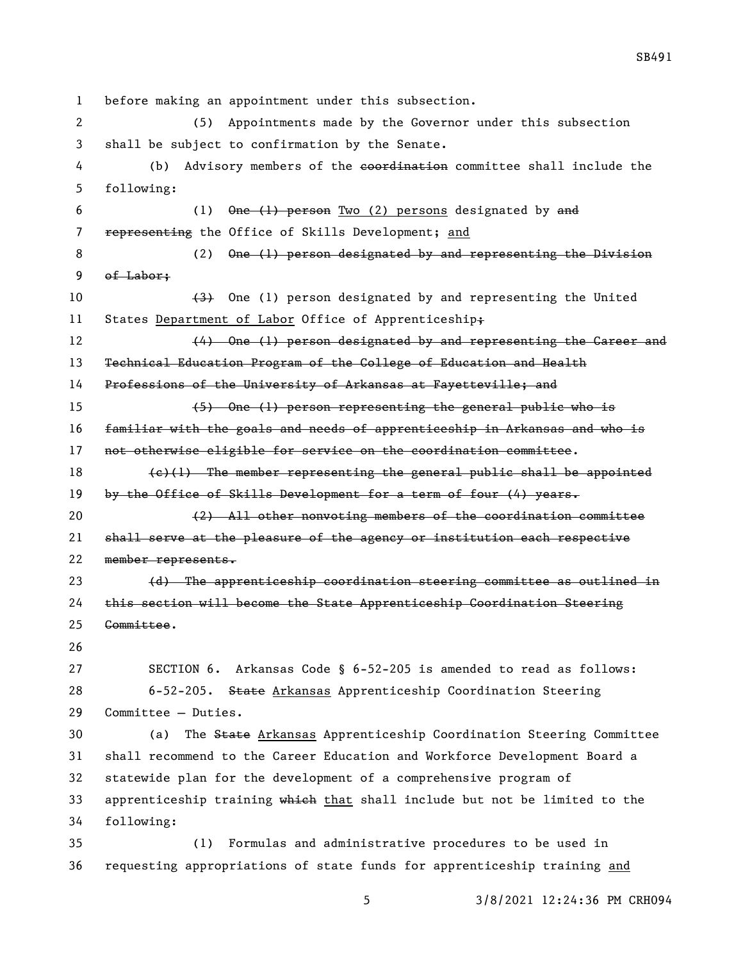before making an appointment under this subsection. (5) Appointments made by the Governor under this subsection shall be subject to confirmation by the Senate. 4 (b) Advisory members of the eoordination committee shall include the following: 6 (1) One (1) person Two (2) persons designated by and 7 representing the Office of Skills Development; and 8 (2) One (1) person designated by and representing the Division of Labor;  $\left(3\right)$  One (1) person designated by and representing the United 11 States Department of Labor Office of Apprenticeship+ 12 (4) One (1) person designated by and representing the Career and Technical Education Program of the College of Education and Health Professions of the University of Arkansas at Fayetteville; and (5) One (1) person representing the general public who is familiar with the goals and needs of apprenticeship in Arkansas and who is 17 not otherwise eligible for service on the coordination committee.  $(e)(1)$  The member representing the general public shall be appointed by the Office of Skills Development for a term of four (4) years. (2) All other nonvoting members of the coordination committee shall serve at the pleasure of the agency or institution each respective member represents. (d) The apprenticeship coordination steering committee as outlined in this section will become the State Apprenticeship Coordination Steering Committee. SECTION 6. Arkansas Code § 6-52-205 is amended to read as follows: 28 6-52-205. State Arkansas Apprenticeship Coordination Steering Committee — Duties. (a) The State Arkansas Apprenticeship Coordination Steering Committee shall recommend to the Career Education and Workforce Development Board a statewide plan for the development of a comprehensive program of 33 apprenticeship training which that shall include but not be limited to the following: (1) Formulas and administrative procedures to be used in requesting appropriations of state funds for apprenticeship training and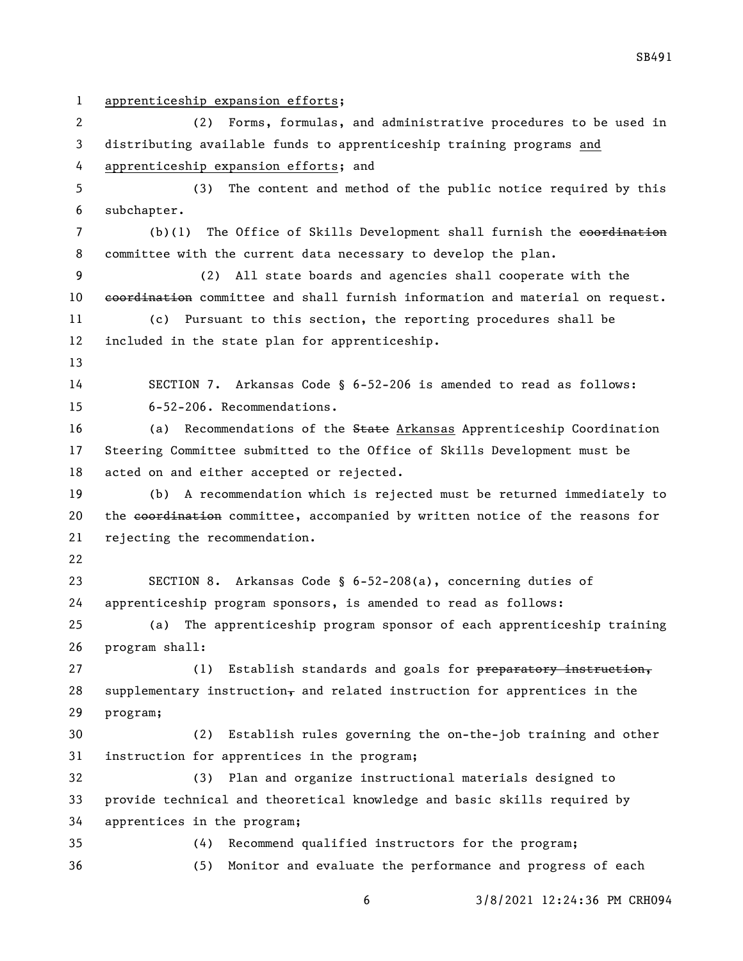apprenticeship expansion efforts; (2) Forms, formulas, and administrative procedures to be used in distributing available funds to apprenticeship training programs and apprenticeship expansion efforts; and (3) The content and method of the public notice required by this subchapter. 7 (b)(1) The Office of Skills Development shall furnish the coordination committee with the current data necessary to develop the plan. (2) All state boards and agencies shall cooperate with the 10 coordination committee and shall furnish information and material on request. (c) Pursuant to this section, the reporting procedures shall be included in the state plan for apprenticeship. SECTION 7. Arkansas Code § 6-52-206 is amended to read as follows: 6-52-206. Recommendations. (a) Recommendations of the State Arkansas Apprenticeship Coordination Steering Committee submitted to the Office of Skills Development must be acted on and either accepted or rejected. (b) A recommendation which is rejected must be returned immediately to 20 the coordination committee, accompanied by written notice of the reasons for rejecting the recommendation. SECTION 8. Arkansas Code § 6-52-208(a), concerning duties of apprenticeship program sponsors, is amended to read as follows: (a) The apprenticeship program sponsor of each apprenticeship training program shall: 27 (1) Establish standards and goals for preparatory instruction, 28 supplementary instruction $_{\overline{7}}$  and related instruction for apprentices in the program; (2) Establish rules governing the on-the-job training and other instruction for apprentices in the program; (3) Plan and organize instructional materials designed to provide technical and theoretical knowledge and basic skills required by apprentices in the program; (4) Recommend qualified instructors for the program; (5) Monitor and evaluate the performance and progress of each

3/8/2021 12:24:36 PM CRH094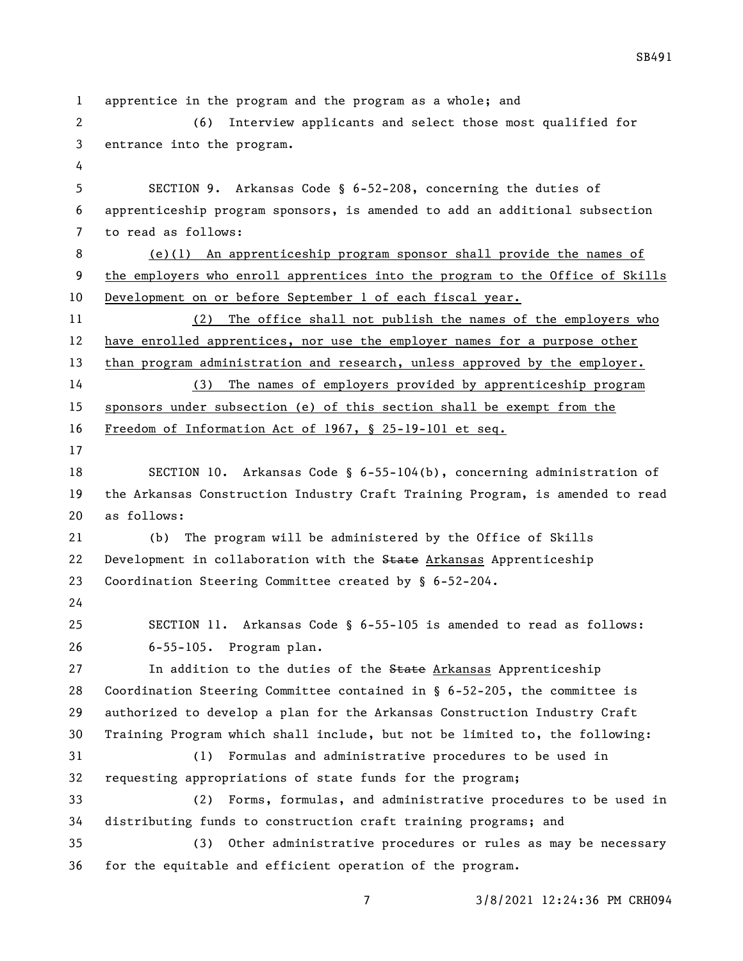apprentice in the program and the program as a whole; and (6) Interview applicants and select those most qualified for entrance into the program. SECTION 9. Arkansas Code § 6-52-208, concerning the duties of apprenticeship program sponsors, is amended to add an additional subsection to read as follows: (e)(1) An apprenticeship program sponsor shall provide the names of the employers who enroll apprentices into the program to the Office of Skills Development on or before September 1 of each fiscal year. (2) The office shall not publish the names of the employers who have enrolled apprentices, nor use the employer names for a purpose other than program administration and research, unless approved by the employer. (3) The names of employers provided by apprenticeship program sponsors under subsection (e) of this section shall be exempt from the Freedom of Information Act of 1967, § 25-19-101 et seq. SECTION 10. Arkansas Code § 6-55-104(b), concerning administration of the Arkansas Construction Industry Craft Training Program, is amended to read as follows: (b) The program will be administered by the Office of Skills 22 Development in collaboration with the State Arkansas Apprenticeship Coordination Steering Committee created by § 6-52-204. SECTION 11. Arkansas Code § 6-55-105 is amended to read as follows: 6-55-105. Program plan. 27 11 In addition to the duties of the State Arkansas Apprenticeship Coordination Steering Committee contained in § 6-52-205, the committee is authorized to develop a plan for the Arkansas Construction Industry Craft Training Program which shall include, but not be limited to, the following: (1) Formulas and administrative procedures to be used in requesting appropriations of state funds for the program; (2) Forms, formulas, and administrative procedures to be used in distributing funds to construction craft training programs; and (3) Other administrative procedures or rules as may be necessary for the equitable and efficient operation of the program.

3/8/2021 12:24:36 PM CRH094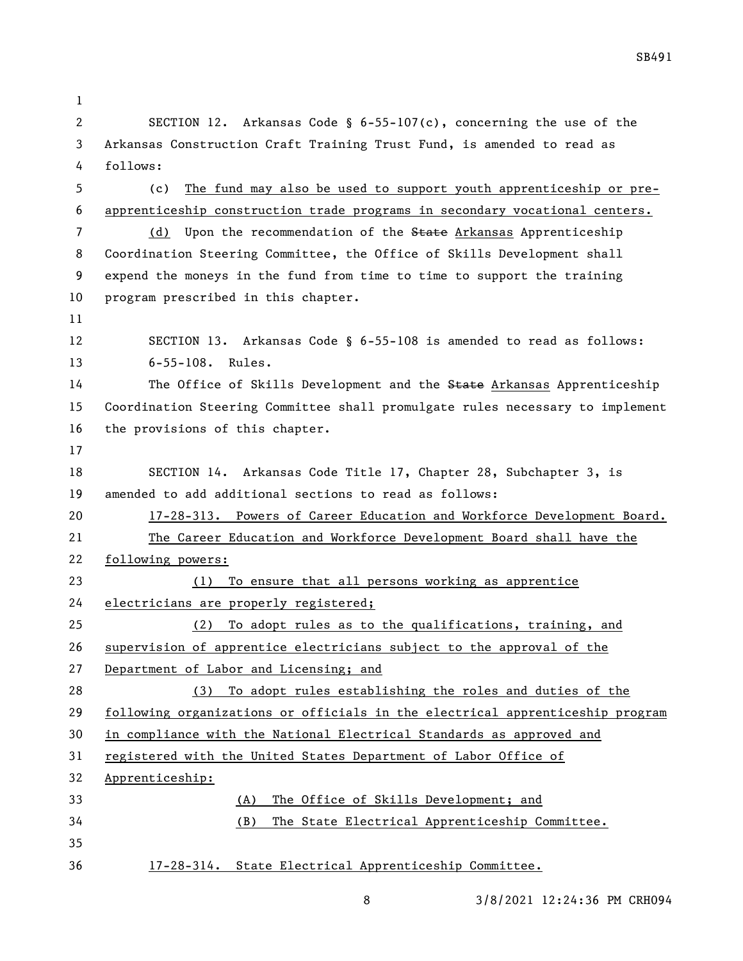| 1  |                                                                               |  |  |
|----|-------------------------------------------------------------------------------|--|--|
| 2  | SECTION 12. Arkansas Code § $6-55-107(c)$ , concerning the use of the         |  |  |
| 3  | Arkansas Construction Craft Training Trust Fund, is amended to read as        |  |  |
| 4  | follows:                                                                      |  |  |
| 5  | The fund may also be used to support youth apprenticeship or pre-<br>(c)      |  |  |
| 6  | apprenticeship construction trade programs in secondary vocational centers.   |  |  |
| 7  | Upon the recommendation of the State Arkansas Apprenticeship<br>(d)           |  |  |
| 8  | Coordination Steering Committee, the Office of Skills Development shall       |  |  |
| 9  | expend the moneys in the fund from time to time to support the training       |  |  |
| 10 | program prescribed in this chapter.                                           |  |  |
| 11 |                                                                               |  |  |
| 12 | SECTION 13. Arkansas Code § 6-55-108 is amended to read as follows:           |  |  |
| 13 | $6 - 55 - 108$ . Rules.                                                       |  |  |
| 14 | The Office of Skills Development and the State Arkansas Apprenticeship        |  |  |
| 15 | Coordination Steering Committee shall promulgate rules necessary to implement |  |  |
| 16 | the provisions of this chapter.                                               |  |  |
| 17 |                                                                               |  |  |
| 18 | SECTION 14. Arkansas Code Title 17, Chapter 28, Subchapter 3, is              |  |  |
| 19 | amended to add additional sections to read as follows:                        |  |  |
| 20 | 17-28-313. Powers of Career Education and Workforce Development Board.        |  |  |
| 21 | The Career Education and Workforce Development Board shall have the           |  |  |
| 22 | following powers:                                                             |  |  |
| 23 | To ensure that all persons working as apprentice<br>(1)                       |  |  |
| 24 | electricians are properly registered;                                         |  |  |
| 25 | To adopt rules as to the qualifications, training, and<br>(2)                 |  |  |
| 26 | supervision of apprentice electricians subject to the approval of the         |  |  |
| 27 | Department of Labor and Licensing; and                                        |  |  |
| 28 | To adopt rules establishing the roles and duties of the<br>(3)                |  |  |
| 29 | following organizations or officials in the electrical apprenticeship program |  |  |
| 30 | in compliance with the National Electrical Standards as approved and          |  |  |
| 31 | registered with the United States Department of Labor Office of               |  |  |
| 32 | Apprenticeship:                                                               |  |  |
| 33 | The Office of Skills Development; and<br>(A)                                  |  |  |
| 34 | The State Electrical Apprenticeship Committee.<br>(B)                         |  |  |
| 35 |                                                                               |  |  |
| 36 | 17-28-314. State Electrical Apprenticeship Committee.                         |  |  |

3/8/2021 12:24:36 PM CRH094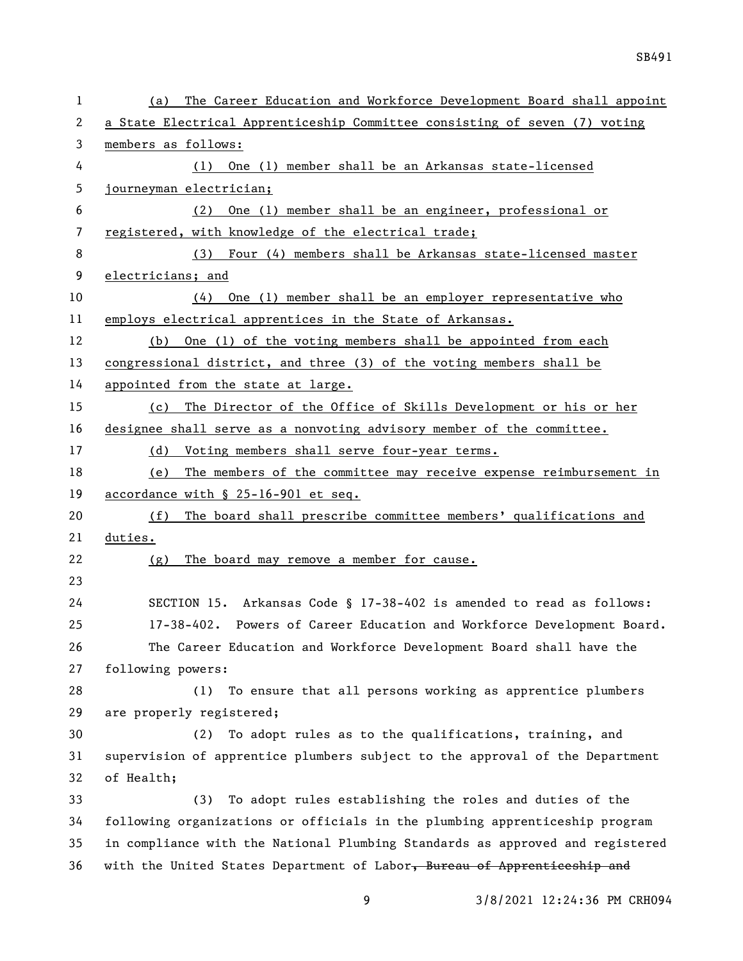| a State Electrical Apprenticeship Committee consisting of seven (7) voting<br>One (1) member shall be an Arkansas state-licensed |  |  |
|----------------------------------------------------------------------------------------------------------------------------------|--|--|
|                                                                                                                                  |  |  |
|                                                                                                                                  |  |  |
|                                                                                                                                  |  |  |
|                                                                                                                                  |  |  |
| One (1) member shall be an engineer, professional or                                                                             |  |  |
|                                                                                                                                  |  |  |
| (3) Four (4) members shall be Arkansas state-licensed master                                                                     |  |  |
| electricians; and                                                                                                                |  |  |
| One (1) member shall be an employer representative who                                                                           |  |  |
|                                                                                                                                  |  |  |
| One (1) of the voting members shall be appointed from each                                                                       |  |  |
| congressional district, and three (3) of the voting members shall be                                                             |  |  |
|                                                                                                                                  |  |  |
| (c) The Director of the Office of Skills Development or his or her                                                               |  |  |
| designee shall serve as a nonvoting advisory member of the committee.                                                            |  |  |
|                                                                                                                                  |  |  |
| The members of the committee may receive expense reimbursement in                                                                |  |  |
|                                                                                                                                  |  |  |
| The board shall prescribe committee members' qualifications and                                                                  |  |  |
|                                                                                                                                  |  |  |
|                                                                                                                                  |  |  |
|                                                                                                                                  |  |  |
| SECTION 15. Arkansas Code § 17-38-402 is amended to read as follows:                                                             |  |  |
| 17-38-402. Powers of Career Education and Workforce Development Board.                                                           |  |  |
| The Career Education and Workforce Development Board shall have the                                                              |  |  |
|                                                                                                                                  |  |  |
| To ensure that all persons working as apprentice plumbers                                                                        |  |  |
|                                                                                                                                  |  |  |
| To adopt rules as to the qualifications, training, and                                                                           |  |  |
| supervision of apprentice plumbers subject to the approval of the Department                                                     |  |  |
|                                                                                                                                  |  |  |
| To adopt rules establishing the roles and duties of the                                                                          |  |  |
| following organizations or officials in the plumbing apprenticeship program                                                      |  |  |
| in compliance with the National Plumbing Standards as approved and registered                                                    |  |  |
| with the United States Department of Labor, Bureau of Apprenticeship and                                                         |  |  |
|                                                                                                                                  |  |  |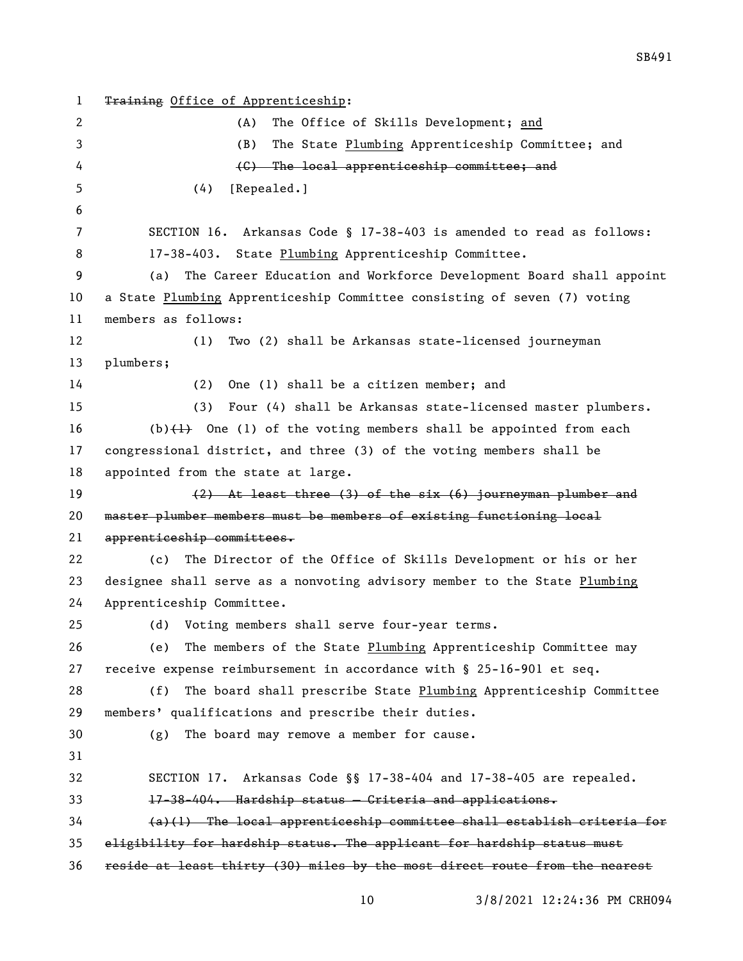1 Training Office of Apprenticeship: (A) The Office of Skills Development; and (B) The State Plumbing Apprenticeship Committee; and (C) The local apprenticeship committee; and (4) [Repealed.] SECTION 16. Arkansas Code § 17-38-403 is amended to read as follows: 17-38-403. State Plumbing Apprenticeship Committee. (a) The Career Education and Workforce Development Board shall appoint a State Plumbing Apprenticeship Committee consisting of seven (7) voting members as follows: (1) Two (2) shall be Arkansas state-licensed journeyman plumbers; (2) One (1) shall be a citizen member; and (3) Four (4) shall be Arkansas state-licensed master plumbers. 16 (b) $(1)$  One (1) of the voting members shall be appointed from each congressional district, and three (3) of the voting members shall be appointed from the state at large. (2) At least three (3) of the six (6) journeyman plumber and master plumber members must be members of existing functioning local apprenticeship committees. (c) The Director of the Office of Skills Development or his or her designee shall serve as a nonvoting advisory member to the State Plumbing Apprenticeship Committee. (d) Voting members shall serve four-year terms. (e) The members of the State Plumbing Apprenticeship Committee may receive expense reimbursement in accordance with § 25-16-901 et seq. (f) The board shall prescribe State Plumbing Apprenticeship Committee members' qualifications and prescribe their duties. (g) The board may remove a member for cause. SECTION 17. Arkansas Code §§ 17-38-404 and 17-38-405 are repealed. 17-38-404. Hardship status — Criteria and applications. (a)(1) The local apprenticeship committee shall establish criteria for eligibility for hardship status. The applicant for hardship status must reside at least thirty (30) miles by the most direct route from the nearest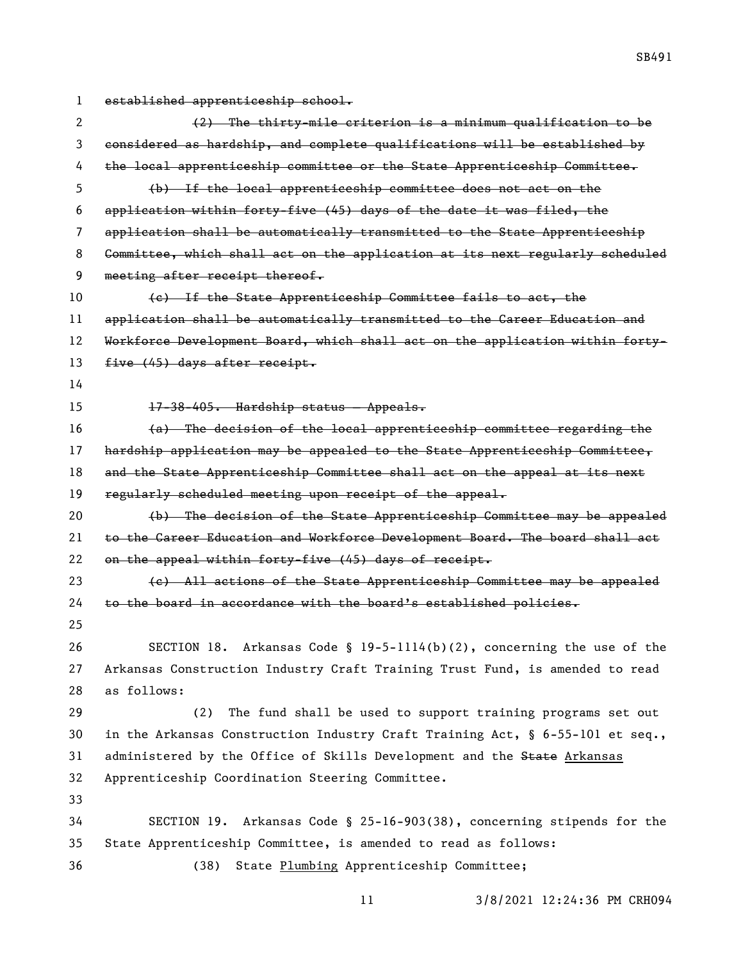established apprenticeship school.

| 2  | (2) The thirty-mile criterion is a minimum qualification to be                   |
|----|----------------------------------------------------------------------------------|
| 3  | considered as hardship, and complete qualifications will be established by       |
| 4  | the local apprenticeship committee or the State Apprenticeship Committee.        |
| 5  | (b) If the local apprenticeship committee does not act on the                    |
| 6  | application within forty-five (45) days of the date it was filed, the            |
| 7  | application shall be automatically transmitted to the State Apprenticeship       |
| 8  | Committee, which shall act on the application at its next regularly scheduled    |
| 9  | meeting after receipt thereof.                                                   |
| 10 | (e) If the State Apprenticeship Committee fails to act, the                      |
| 11 | application shall be automatically transmitted to the Career Education and       |
| 12 | Workforce Development Board, which shall act on the application within forty-    |
| 13 | five (45) days after receipt.                                                    |
| 14 |                                                                                  |
| 15 | 17-38-405. Hardship status - Appeals.                                            |
| 16 | (a) The decision of the local apprenticeship committee regarding the             |
| 17 | hardship application may be appealed to the State Apprenticeship Committee,      |
| 18 | and the State Apprenticeship Committee shall act on the appeal at its next       |
| 19 | regularly scheduled meeting upon receipt of the appeal.                          |
| 20 | (b) The decision of the State Apprenticeship Committee may be appealed           |
| 21 | to the Career Education and Workforce Development Board. The board shall act     |
| 22 | on the appeal within forty-five (45) days of receipt.                            |
| 23 | (e) All actions of the State Apprenticeship Committee may be appealed            |
| 24 | to the board in accordance with the board's established policies.                |
| 25 |                                                                                  |
| 26 | SECTION 18. Arkansas Code § 19-5-1114(b)(2), concerning the use of the           |
| 27 | Arkansas Construction Industry Craft Training Trust Fund, is amended to read     |
| 28 | as follows:                                                                      |
| 29 | (2)<br>The fund shall be used to support training programs set out               |
| 30 | in the Arkansas Construction Industry Craft Training Act, $\S$ 6-55-101 et seq., |
| 31 | administered by the Office of Skills Development and the State Arkansas          |
| 32 | Apprenticeship Coordination Steering Committee.                                  |
| 33 |                                                                                  |
| 34 | SECTION 19. Arkansas Code § 25-16-903(38), concerning stipends for the           |
| 35 | State Apprenticeship Committee, is amended to read as follows:                   |
| 36 | (38)<br>State Plumbing Apprenticeship Committee;                                 |